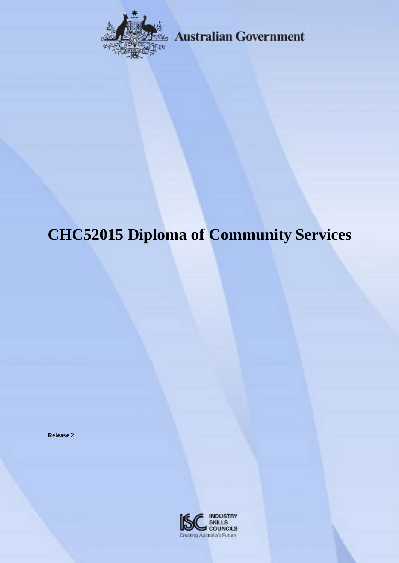

**Australian Government** 

# **CHC52015 Diploma of Community Services**

**Release 2**

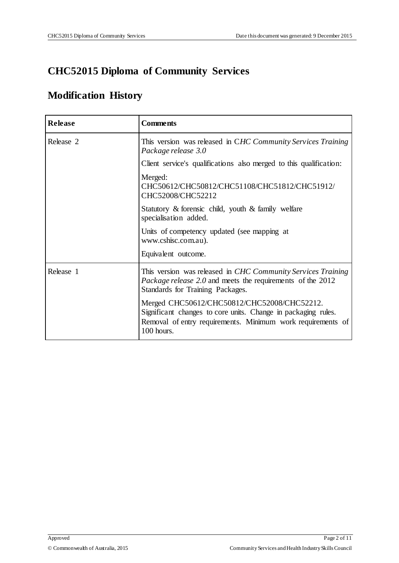## **CHC52015 Diploma of Community Services**

## **Modification History**

| <b>Release</b> | <b>Comments</b>                                                                                                                                                                           |
|----------------|-------------------------------------------------------------------------------------------------------------------------------------------------------------------------------------------|
| Release 2      | This version was released in CHC Community Services Training<br>Package release 3.0                                                                                                       |
|                | Client service's qualifications also merged to this qualification:                                                                                                                        |
|                | Merged:<br>CHC50612/CHC50812/CHC51108/CHC51812/CHC51912/<br>CHC52008/CHC52212                                                                                                             |
|                | Statutory $\&$ forensic child, youth $\&$ family welfare<br>specialisation added.                                                                                                         |
|                | Units of competency updated (see mapping at<br>www.cshisc.com.au).                                                                                                                        |
|                | Equivalent outcome.                                                                                                                                                                       |
| Release 1      | This version was released in CHC Community Services Training<br>Package release 2.0 and meets the requirements of the 2012<br>Standards for Training Packages.                            |
|                | Merged CHC50612/CHC50812/CHC52008/CHC52212.<br>Significant changes to core units. Change in packaging rules.<br>Removal of entry requirements. Minimum work requirements of<br>100 hours. |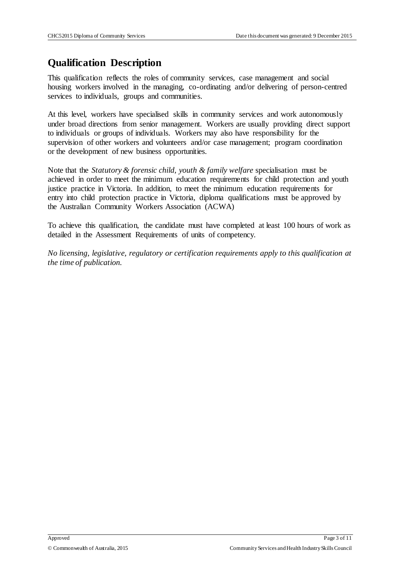## **Qualification Description**

This qualification reflects the roles of community services, case management and social housing workers involved in the managing, co-ordinating and/or delivering of person-centred services to individuals, groups and communities.

At this level, workers have specialised skills in community services and work autonomously under broad directions from senior management. Workers are usually providing direct support to individuals or groups of individuals. Workers may also have responsibility for the supervision of other workers and volunteers and/or case management; program coordination or the development of new business opportunities.

Note that the *Statutory & forensic child, youth & family welfare* specialisation must be achieved in order to meet the minimum education requirements for child protection and youth justice practice in Victoria. In addition, to meet the minimum education requirements for entry into child protection practice in Victoria, diploma qualifications must be approved by the Australian Community Workers Association (ACWA)

To achieve this qualification, the candidate must have completed at least 100 hours of work as detailed in the Assessment Requirements of units of competency.

*No licensing, legislative, regulatory or certification requirements apply to this qualification at the time of publication.*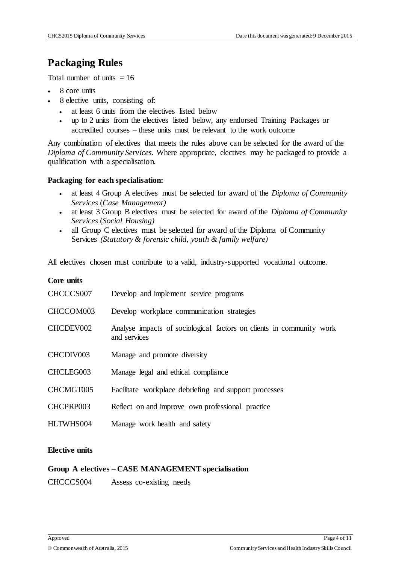## **Packaging Rules**

Total number of units  $= 16$ 

- 8 core units
- 8 elective units, consisting of:
	- at least 6 units from the electives listed below
	- up to 2 units from the electives listed below, any endorsed Training Packages or accredited courses – these units must be relevant to the work outcome

Any combination of electives that meets the rules above can be selected for the award of the *Diploma of Community Services.* Where appropriate, electives may be packaged to provide a qualification with a specialisation.

#### **Packaging for each specialisation:**

- at least 4 Group A electives must be selected for award of the *Diploma of Community Services* (*Case Management)*
- at least 3 Group B electives must be selected for award of the *Diploma of Community Services* (*Social Housing)*
- all Group C electives must be selected for award of the Diploma of Community Services *(Statutory & forensic child, youth & family welfare)*

All electives chosen must contribute to a valid, industry-supported vocational outcome.

#### **Core units**

| CHCCCS007 | Develop and implement service programs                                               |
|-----------|--------------------------------------------------------------------------------------|
| CHCCOM003 | Develop workplace communication strategies                                           |
| CHCDEV002 | Analyse impacts of sociological factors on clients in community work<br>and services |
| CHCDIV003 | Manage and promote diversity                                                         |
| CHCLEG003 | Manage legal and ethical compliance                                                  |
| CHCMGT005 | Facilitate workplace debriefing and support processes                                |
| CHCPRP003 | Reflect on and improve own professional practice                                     |
| HLTWHS004 | Manage work health and safety                                                        |

#### **Elective units**

#### **Group A electives – CASE MANAGEMENT specialisation**

CHCCCS004 Assess co-existing needs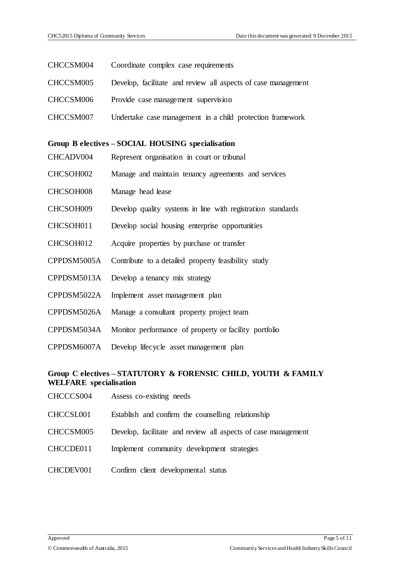| CHCCSM004                                         | Coordinate complex case requirements                          |  |
|---------------------------------------------------|---------------------------------------------------------------|--|
| CHCCSM005                                         | Develop, facilitate and review all aspects of case management |  |
| CHCCSM006                                         | Provide case management supervision                           |  |
| CHCCSM007                                         | Undertake case management in a child protection framework     |  |
|                                                   |                                                               |  |
| Group B electives - SOCIAL HOUSING specialisation |                                                               |  |
| CHCADV004                                         | Represent organisation in court or tribunal                   |  |
| CHCSOH002                                         | Manage and maintain tenancy agreements and services           |  |
| CHCSOH008                                         | Manage head lease                                             |  |
| CHCSOH009                                         | Develop quality systems in line with registration standards   |  |
| CHCSOH011                                         | Develop social housing enterprise opportunities               |  |
| CHCSOH012                                         | Acquire properties by purchase or transfer                    |  |
| CPPDSM5005A                                       | Contribute to a detailed property feasibility study           |  |
| CPPDSM5013A                                       | Develop a tenancy mix strategy                                |  |
| CPPDSM5022A                                       | Implement asset management plan                               |  |
| CPPDSM5026A                                       | Manage a consultant property project team                     |  |
| CPPDSM5034A                                       | Monitor performance of property or facility portfolio         |  |
| CPPDSM6007A                                       | Develop lifecycle asset management plan                       |  |

#### **Group C electives – STATUTORY & FORENSIC CHILD, YOUTH & FAMILY WELFARE specialisation**

- CHCCCS004 Assess co-existing needs
- CHCCSL001 Establish and confirm the counselling relationship
- CHCCSM005 Develop, facilitate and review all aspects of case management
- CHCCDE011 Implement community development strategies
- CHCDEV001 Confirm client developmental status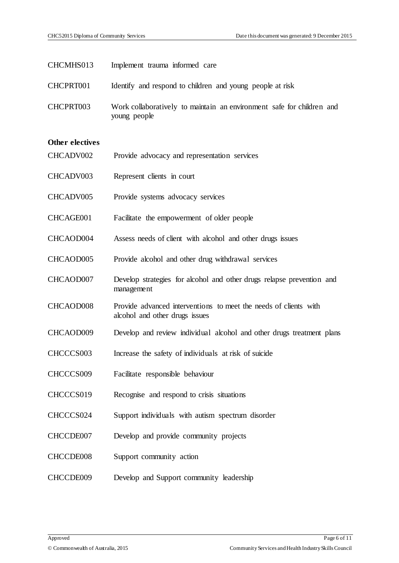| CHCMHS013              | Implement trauma informed care                                                                     |
|------------------------|----------------------------------------------------------------------------------------------------|
| CHCPRT001              | Identify and respond to children and young people at risk                                          |
| CHCPRT003              | Work collaboratively to maintain an environment safe for children and<br>young people              |
| <b>Other electives</b> |                                                                                                    |
| CHCADV002              | Provide advocacy and representation services                                                       |
| CHCADV003              | Represent clients in court                                                                         |
| CHCADV005              | Provide systems advocacy services                                                                  |
| CHCAGE001              | Facilitate the empowerment of older people                                                         |
| CHCAOD004              | Assess needs of client with alcohol and other drugs issues                                         |
| CHCAOD005              | Provide alcohol and other drug withdrawal services                                                 |
| CHCAOD007              | Develop strategies for alcohol and other drugs relapse prevention and<br>management                |
| CHCAOD008              | Provide advanced interventions to meet the needs of clients with<br>alcohol and other drugs issues |
| CHCAOD009              | Develop and review individual alcohol and other drugs treatment plans                              |
| CHCCCS003              | Increase the safety of individuals at risk of suicide                                              |
| CHCCCS009              | Facilitate responsible behaviour                                                                   |
| CHCCCS019              | Recognise and respond to crisis situations                                                         |
| CHCCCS024              | Support individuals with autism spectrum disorder                                                  |
| CHCCDE007              | Develop and provide community projects                                                             |
| CHCCDE008              | Support community action                                                                           |
| CHCCDE009              | Develop and Support community leadership                                                           |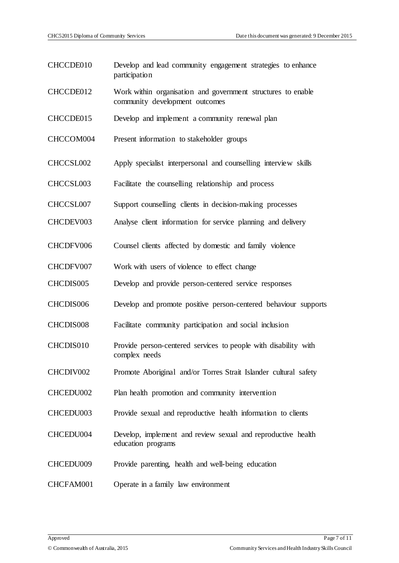- CHCCDE010 Develop and lead community engagement strategies to enhance participation
- CHCCDE012 Work within organisation and government structures to enable community development outcomes
- CHCCDE015 Develop and implement a community renewal plan
- CHCCOM004 Present information to stakeholder groups
- CHCCSL002 Apply specialist interpersonal and counselling interview skills
- CHCCSL003 Facilitate the counselling relationship and process
- CHCCSL007 Support counselling clients in decision-making processes
- CHCDEV003 Analyse client information for service planning and delivery
- CHCDFV006 Counsel clients affected by domestic and family violence
- CHCDFV007 Work with users of violence to effect change
- CHCDIS005 Develop and provide person-centered service responses
- CHCDIS006 Develop and promote positive person-centered behaviour supports
- CHCDIS008 Facilitate community participation and social inclusion
- CHCDIS010 Provide person-centered services to people with disability with complex needs
- CHCDIV002 Promote Aboriginal and/or Torres Strait Islander cultural safety
- CHCEDU002 Plan health promotion and community intervention
- CHCEDU003 Provide sexual and reproductive health information to clients
- CHCEDU004 Develop, implement and review sexual and reproductive health education programs
- CHCEDU009 Provide parenting, health and well-being education
- CHCFAM001 Operate in a family law environment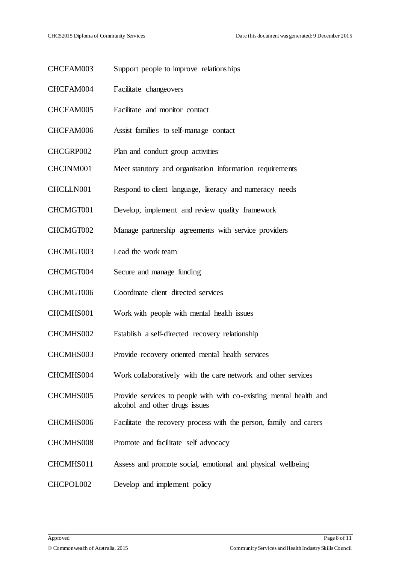| CHCFAM003 | Support people to improve relationships                                                              |
|-----------|------------------------------------------------------------------------------------------------------|
| CHCFAM004 | Facilitate changeovers                                                                               |
| CHCFAM005 | Facilitate and monitor contact                                                                       |
| CHCFAM006 | Assist families to self-manage contact                                                               |
| CHCGRP002 | Plan and conduct group activities                                                                    |
| CHCINM001 | Meet statutory and organisation information requirements                                             |
| CHCLLN001 | Respond to client language, literacy and numeracy needs                                              |
| CHCMGT001 | Develop, implement and review quality framework                                                      |
| CHCMGT002 | Manage partnership agreements with service providers                                                 |
| CHCMGT003 | Lead the work team                                                                                   |
| CHCMGT004 | Secure and manage funding                                                                            |
| CHCMGT006 | Coordinate client directed services                                                                  |
| CHCMHS001 | Work with people with mental health issues                                                           |
| CHCMHS002 | Establish a self-directed recovery relationship                                                      |
| CHCMHS003 | Provide recovery oriented mental health services                                                     |
| CHCMHS004 | Work collaboratively with the care network and other services                                        |
| CHCMHS005 | Provide services to people with with co-existing mental health and<br>alcohol and other drugs issues |
| CHCMHS006 | Facilitate the recovery process with the person, family and carers                                   |
| CHCMHS008 | Promote and facilitate self advocacy                                                                 |
| CHCMHS011 | Assess and promote social, emotional and physical wellbeing                                          |
| CHCPOL002 | Develop and implement policy                                                                         |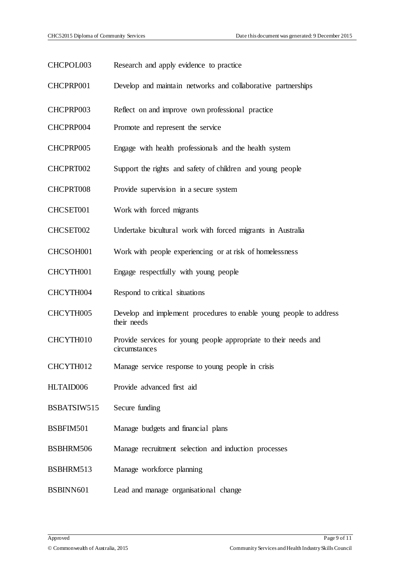CHCPOL003 Research and apply evidence to practice CHCPRP001 Develop and maintain networks and collaborative partnerships CHCPRP003 Reflect on and improve own professional practice CHCPRP004 Promote and represent the service CHCPRP005 Engage with health professionals and the health system CHCPRT002 Support the rights and safety of children and young people CHCPRT008 Provide supervision in a secure system CHCSET001 Work with forced migrants CHCSET002 Undertake bicultural work with forced migrants in Australia CHCSOH001 Work with people experiencing or at risk of homelessness CHCYTH001 Engage respectfully with young people CHCYTH004 Respond to critical situations CHCYTH005 Develop and implement procedures to enable young people to address their needs CHCYTH010 Provide services for young people appropriate to their needs and circumstances CHCYTH012 Manage service response to young people in crisis HLTAID006 Provide advanced first aid BSBATSIW515 Secure funding BSBFIM501 Manage budgets and financial plans BSBHRM506 Manage recruitment selection and induction processes BSBHRM513 Manage workforce planning BSBINN601 Lead and manage organisational change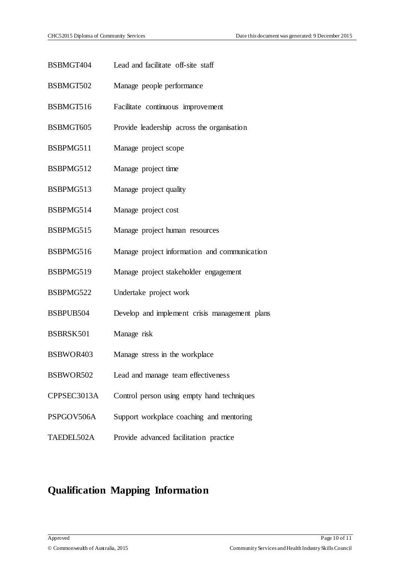- BSBMGT404 Lead and facilitate off-site staff
- BSBMGT502 Manage people performance
- BSBMGT516 Facilitate continuous improvement
- BSBMGT605 Provide leadership across the organisation
- BSBPMG511 Manage project scope
- BSBPMG512 Manage project time
- BSBPMG513 Manage project quality
- BSBPMG514 Manage project cost
- BSBPMG515 Manage project human resources
- BSBPMG516 Manage project information and communication
- BSBPMG519 Manage project stakeholder engagement
- BSBPMG522 Undertake project work
- BSBPUB504 Develop and implement crisis management plans
- BSBRSK501 Manage risk
- BSBWOR403 Manage stress in the workplace
- BSBWOR502 Lead and manage team effectiveness
- CPPSEC3013A Control person using empty hand techniques
- PSPGOV506A Support workplace coaching and mentoring
- TAEDEL502A Provide advanced facilitation practice

### **Qualification Mapping Information**